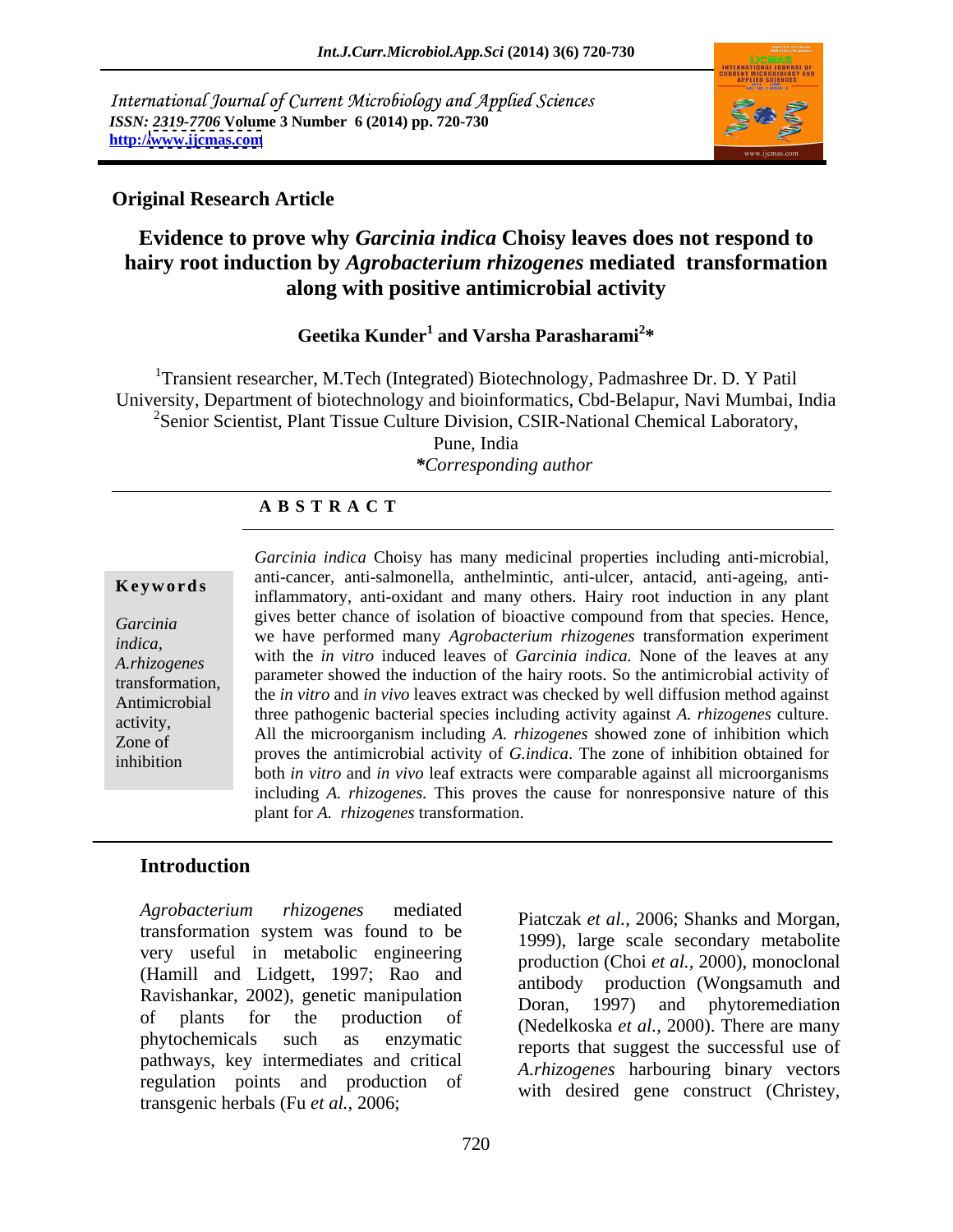International Journal of Current Microbiology and Applied Sciences *ISSN: 2319-7706* **Volume 3 Number 6 (2014) pp. 720-730 http:/[/www.ijcmas.com](http://www.ijcmas.com)**



### **Original Research Article**

# **Evidence to prove why** *Garcinia indica* **Choisy leaves does not respond to hairy root induction by** *Agrobacterium rhizogenes* **mediated transformation along with positive antimicrobial activity**

Geetika Kunder<sup>1</sup> and Varsha Parasharami<sup>2\*</sup>  **and Varsha Parasharami<sup>2</sup> \***

<sup>1</sup>Transient researcher, M.Tech (Integrated) Biotechnology, Padmashree Dr. D. Y Patil University, Department of biotechnology and bioinformatics, Cbd-Belapur, Navi Mumbai, India <sup>2</sup>Senior Scientist, Plant Tissue Culture Division, CSIR-National Chemical Laboratory, Pune, India

# *\*Corresponding author*

### **A B S T R A C T**

transformation*,* 

**Keywords** and cancer, and sampled and many others. Hairy root induction in any plant Garcinia sites in the gives better chance of isolation of bioactive compound from that species. Hence, *indica*, we have performed many *Agrobucterium rhizogenes* transformation experiment<br>A.rhizogenes with the *in vitro* induced leaves of *Garcinia indica*. None of the leaves at any Antimicrobial the *in vitro* and *in vivo* leaves extract was checked by well diffusion method against activity, and the pathogenic bacterial species including activity against A. *mizogenes* culture. Zone of All the microorganism including *A. rhizogenes* showed zone of inhibition which inhibition proves the antimicropial activity of G*ritatica*. The zone of infinition obtained for both *in vitro* and *in vivo* leaf extracts were comparable against all microorganisms *Garcinia indica* Choisy has many medicinal properties including anti-microbial, anti-cancer, anti-salmonella, anthelmintic, anti-ulcer, antacid, anti-ageing, antiwe have performed many *Agrobacterium rhizogenes* transformation experiment parameter showed the induction of the hairy roots. So the antimicrobial activity of three pathogenic bacterial species including activity against *A. rhizogenes* culture. proves the antimicrobial activity of *G.indica*. The zone of inhibition obtained for including *A. rhizogenes.* This proves the cause for nonresponsive nature of this plant for *A. rhizogenes* transformation.

# **Introduction**

*Agrobacterium rhizogenes* mediated transformation system was found to be very useful in metabolic engineering (Hamill and Lidgett, 1997; Rao and Ravishankar, 2002), genetic manipulation<br>Doran, 1997) and phytoremediation of plants for the production of (Nedelkoska *et al.,* 2000). There are many phytochemicals such as enzymatic reports that suggest the successful use of pathways, key intermediates and critical regulation points and production of transgenic herbals (Fu *et al.,* 2006;

Piatczak *et al.,* 2006; Shanks and Morgan, 1999), large scale secondary metabolite production (Choi *et al.,* 2000), monoclonal antibody production (Wongsamuth and Doran, 1997) and phytoremediation *A.rhizogenes* harbouring binary vectors with desired gene construct (Christey,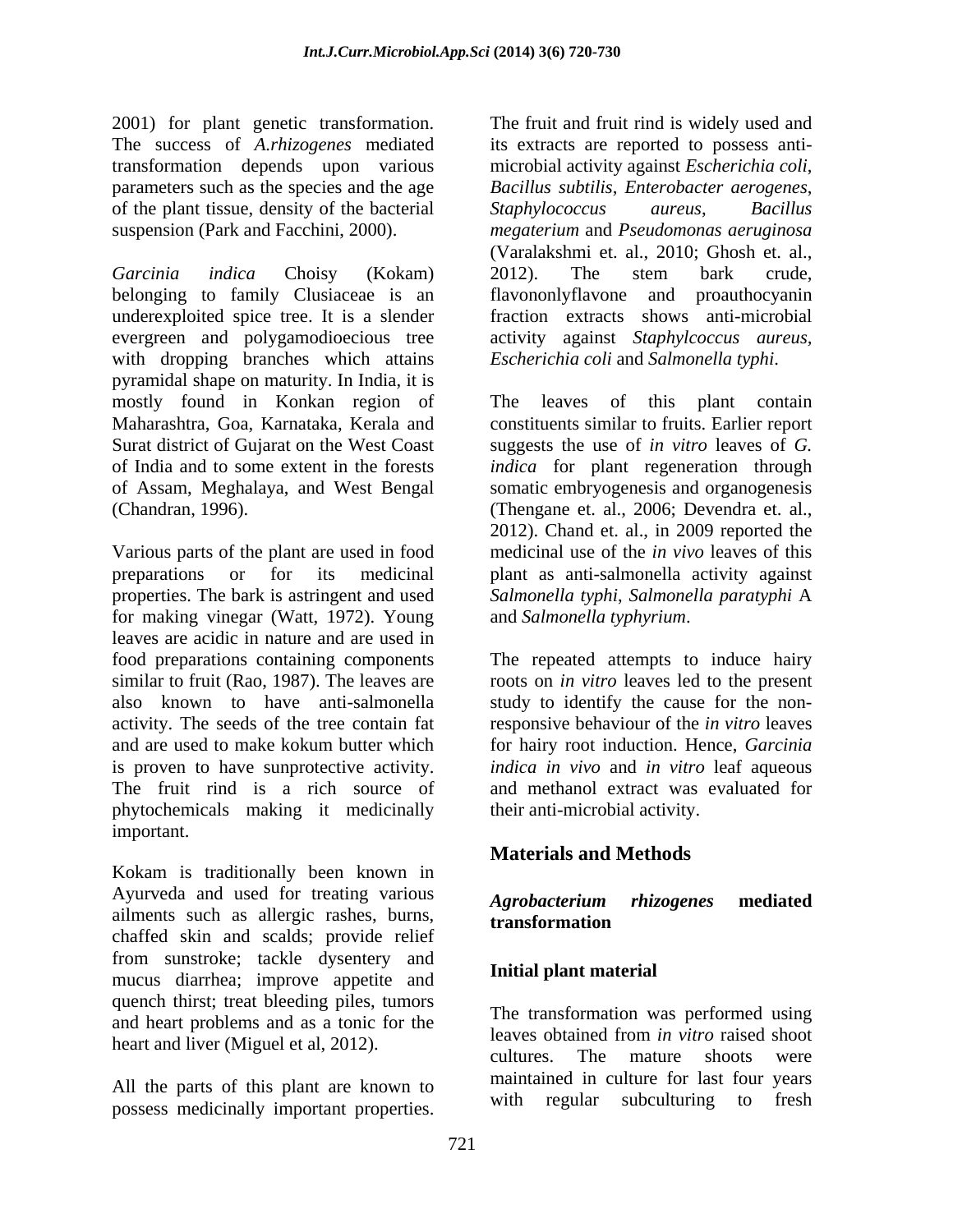2001) for plant genetic transformation. of the plant tissue, density of the bacterial Staphylococcus aureus, Bacillus

*Garcinia indica* Choisy (Kokam) belonging to family Clusiaceae is an flavononlyflavone and proauthocyanin underexploited spice tree. It is a slender evergreen and polygamodioecious tree activity against *Staphylcoccus aureus,* with dropping branches which attains pyramidal shape on maturity. In India, it is mostly found in Konkan region of Maharashtra, Goa, Karnataka, Kerala and constituents similar to fruits. Earlier report Surat district of Gujarat on the West Coast suggests the use of *in vitro* leaves of *G.*  of India and to some extent in the forests *indica* for plant regeneration through of Assam, Meghalaya, and West Bengal somatic embryogenesis and organogenesis (Chandran, 1996). (Thengane et. al., 2006; Devendra et. al.,

Various parts of the plant are used in food preparations or for its medicinal plant as anti-salmonella activity against properties. The bark is astringent and used *Salmonella typhi*, *Salmonella paratyphi* A for making vinegar (Watt, 1972). Young leaves are acidic in nature and are used in food preparations containing components similar to fruit (Rao, 1987). The leaves are roots on *in vitro* leaves led to the present also known to have anti-salmonella study to identify the cause for the nonactivity. The seeds of the tree contain fat and are used to make kokum butter which for hairy root induction. Hence, *Garcinia*  is proven to have sunprotective activity. *indica in vivo* and *in vitro* leaf aqueous The fruit rind is a rich source of and methanol extract was evaluated for phytochemicals making it medicinally important.

Kokam is traditionally been known in Ayurveda and used for treating various Agrobacterium rhizogenes mediated ailments such as allergic rashes, burns, transformation chaffed skin and scalds; provide relief from sunstroke; tackle dysentery and mucus diarrhea; improve appetite and quench thirst; treat bleeding piles, tumors and heart problems and as a tonic for the<br>leaves obtained from *in vitro* raised shoot

All the parts of this plant are known to<br>with regular subculturing to fresh possess medicinally important properties.

The success of *A.rhizogenes* mediated its extracts are reported to possess anti transformation depends upon various microbial activity against *Escherichia coli*, parameters such as the species and the age *Bacillus subtilis*, *Enterobacter aerogenes*, suspension (Park and Facchini, 2000). *megaterium* and *Pseudomonas aeruginosa* The fruit and fruit rind is widely used and *Staphylococcus aureus*, *Bacillus*  (Varalakshmi et. al., 2010; Ghosh et. al., 2012). The stem bark crude, fraction extracts shows anti-microbial *Escherichia coli* and *Salmonella typhi*.

> The leaves of this plant contain 2012). Chand et. al., in 2009 reported the medicinal use of the *in vivo* leaves of this and *Salmonella typhyrium*.

The repeated attempts to induce hairy responsive behaviour of the *in vitro* leaves their anti-microbial activity.

# **Materials and Methods**

### *Agrobacterium rhizogenes* **mediated transformation**

### **Initial plant material**

heart and liver (Miguel et al, 2012).<br>cultures. The mature shoots were The transformation was performed using leaves obtained from *in vitro* raised shoot cultures. The mature shoots were maintained in culture for last four years with regular subculturing to fresh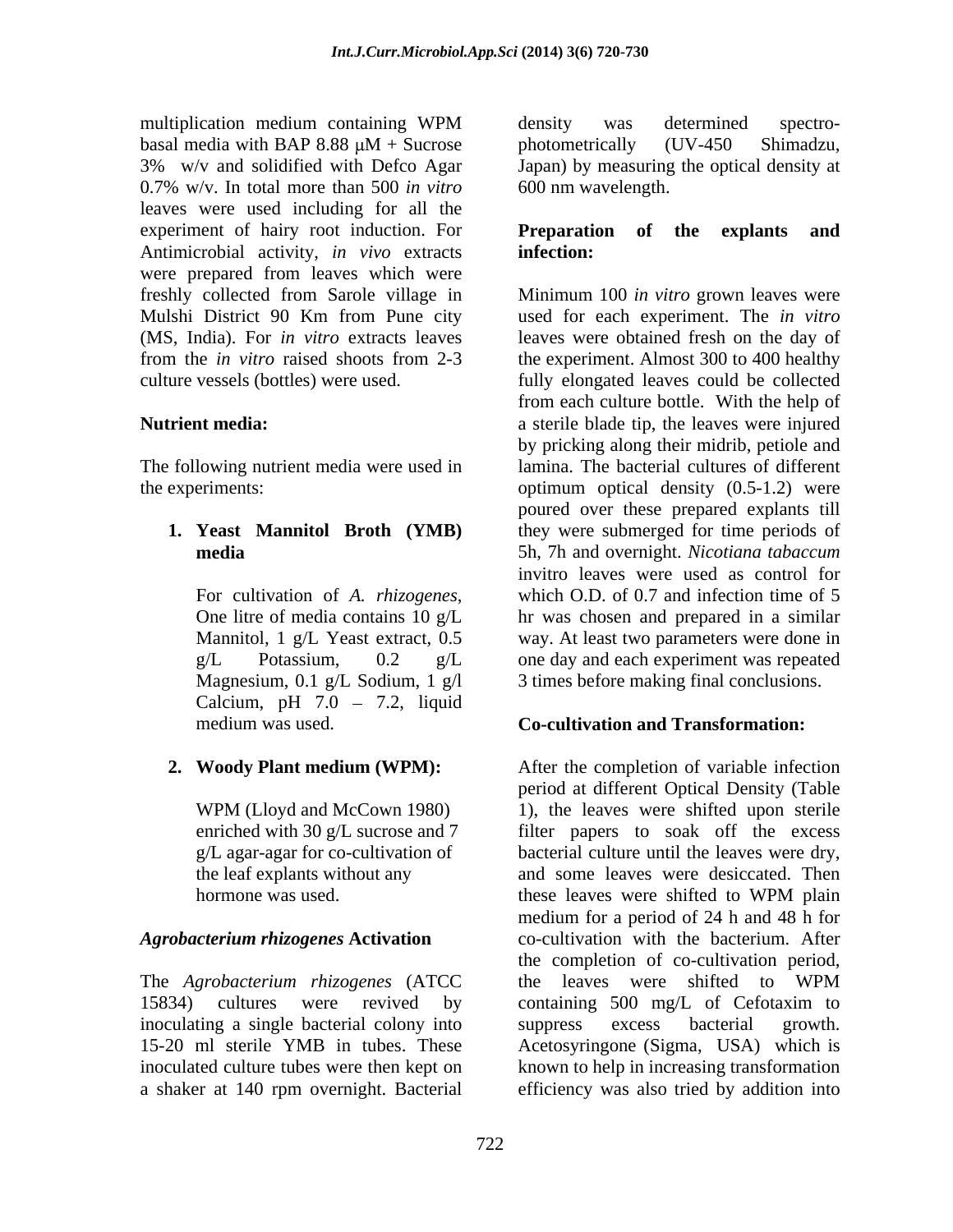multiplication medium containing WPM basal media with BAP 8.88  $\mu$ M + Sucrose photometrically (UV-450 Shimadzu, 3% w/v and solidified with Defco Agar Japan) by measuring the optical density at 0.7% w/v. In total more than 500 *in vitro* leaves were used including for all the experiment of hairy root induction. For **Preparation of the explants and** Antimicrobial activity, *in vivo* extracts were prepared from leaves which were freshly collected from Sarole village in

The following nutrient media were used in

Calcium, pH  $7.0 - 7.2$ , liquid

The *Agrobacterium rhizogenes* (ATCC 15834) cultures were revived by containing 500 mg/L of Cefotaxim to inoculating a single bacterial colony into suppress excess bacterial growth. a shaker at 140 rpm overnight. Bacterial

density was determined spectro photometrically (UV-450 Shimadzu, 600 nm wavelength.

### **Preparation of the explants and infection:**

Mulshi District 90 Km from Pune city used for each experiment. The *in vitro* (MS, India). For *in vitro* extracts leaves leaves were obtained fresh on the day of from the *in vitro* raised shoots from 2-3 the experiment. Almost 300 to 400 healthy culture vessels (bottles) were used. fully elongated leaves could be collected **Nutrient media:** a sterile blade tip, the leaves were injured the experiments: optimum optical density (0.5-1.2) were **1. Yeast Mannitol Broth (YMB)** they were submerged for time periods of **media**  5h, 7h and overnight. *Nicotiana tabaccum* For cultivation of *A. rhizogenes*, which O.D. of 0.7 and infection time of 5<br>One litre of media contains 10 g/L hr was chosen and prepared in a similar Mannitol, 1 g/L Yeast extract, 0.5 way. At least two parameters were done in g/L Potassium, 0.2 g/L one day and each experiment was repeated Magnesium, 0.1 g/L Sodium, 1 g/l 3 times before making final conclusions. Minimum 100 *in vitro* grown leaves were from each culture bottle. With the help of by pricking along their midrib, petiole and lamina. The bacterial cultures of different poured over these prepared explants till invitro leaves were used as control for which O.D. of 0.7 and infection time of 5 hr was chosen and prepared in a similar

## medium was used. **Co-cultivation and Transformation:**

**2. Woody Plant medium (WPM):** After the completion of variable infection WPM (Lloyd and McCown 1980) 1), the leaves were shifted upon sterile enriched with 30 g/L sucrose and 7 filter papers to soak off the excess g/L agar-agar for co-cultivation of bacterial culture until the leaves were dry, the leaf explants without any and some leaves were desiccated. Then hormone was used. These leaves were shifted to WPM plain *Agrobacterium rhizogenes* **Activation** co-cultivation with the bacterium. After 15-20 ml sterile YMB in tubes. These Acetosyringone (Sigma, USA) which is inoculated culture tubes were then kept on known to help in increasing transformation period at different Optical Density (Table these leaves were shifted to WPM plain medium for a period of 24 h and 48 h for the completion of co-cultivation period, the leaves were shifted to WPM containing 500 mg/L of Cefotaxim to suppress excess bacterial growth. efficiency was also tried by addition into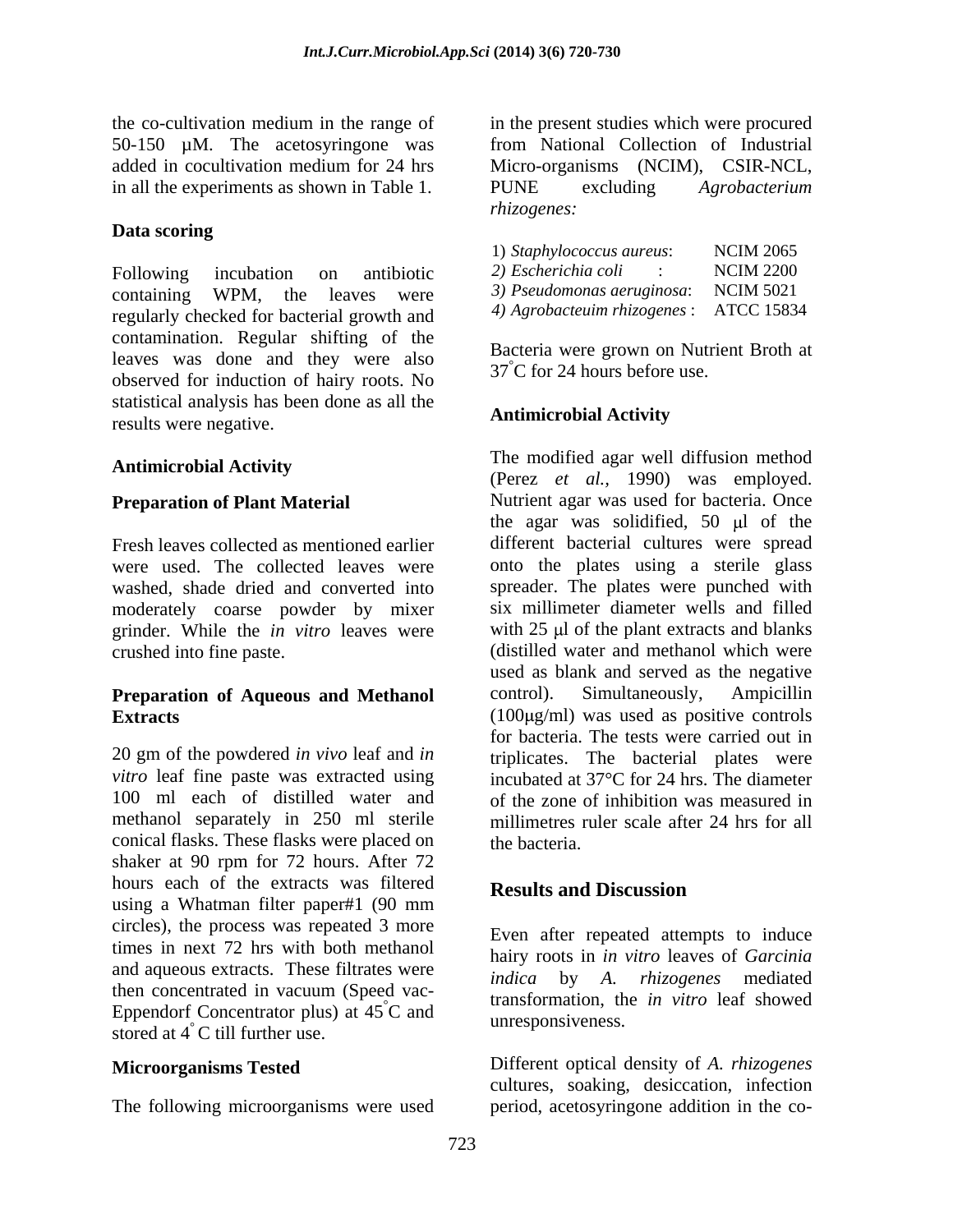in all the experiments as shown in Table 1. PUNE excluding Agrobacterium

### **Data scoring**

Following incubation on antibiotic 2) Escherichia coli : NCIM 2200 containing WPM, the leaves were regularly checked for bacterial growth and contamination. Regular shifting of the leaves was done and they were also observed for induction of hairy roots. No statistical analysis has been done as all the<br> **Antimicrobial Activity** results were negative.

moderately coarse powder by mixer grinder. While the *in vitro* leaves were

20 gm of the powdered *in vivo* leaf and *in*  triplicates. The bacterial plates were *vitro* leaf fine paste was extracted using incubated at 37°C for 24 hrs. The diameter 100 ml each of distilled water and of the zone of inhibition was measured in methanol separately in 250 ml sterile conical flasks. These flasks were placed on shaker at 90 rpm for 72 hours. After 72 hours each of the extracts was filtered<br>Results and Discussion using a Whatman filter paper#1 (90 mm circles), the process was repeated 3 more times in next 72 hrs with both methanol and aqueous extracts. These filtrates were then concentrated in vacuum (Speed vac- Eppendorf Concentrator plus) at  $45^{\circ}$ C and unresponsiveness. stored at 4° C till further use.

the co-cultivation medium in the range of in the present studies which were procured 50-150 µM. The acetosyringone was from National Collection of Industrial added in cocultivation medium for 24 hrs Micro-organisms (NCIM), CSIR-NCL, Micro-organisms (NCIM), CSIR-NCL, PUNE excluding *Agrobacterium rhizogenes:*

| 1) Staphylococcus aureus:    | <b>NCIM 2065</b>  |
|------------------------------|-------------------|
| 2) Escherichia coli          | <b>NCIM 2200</b>  |
| 3) Pseudomonas aeruginosa:   | <b>NCIM 5021</b>  |
| 4) Agrobacteuim rhizogenes : | <b>ATCC 15834</b> |

Bacteria were grown on Nutrient Broth at 37°C for 24 hours before use.

### **Antimicrobial Activity**

Antimicrobial Activity **Antimicrobial Activity Antimicrobial Activity Antimicrobial Activity Antimicrophysis Preparation of Plant Material** Nutrient agar was used for bacteria. Once Fresh leaves collected as mentioned earlier different bacterial cultures were spread were used. The collected leaves were onto the plates using a sterile glass washed, shade dried and converted into spreader. The plates were punched with crushed into fine paste. (distilled water and methanol which were **Preparation of Aqueous and Methanol** control). Simultaneously, Ampicillin **Extracts** (100 g/ml) was used as positive controls The modified agar well diffusion method (Perez *et al.,* 1990) was employed. the agar was solidified,  $50 \text{ }\mu\text{l}$  of the six millimeter diameter wells and filled with  $25 \mu$  of the plant extracts and blanks used as blank and served as the negative control). Simultaneously, Ampicillin for bacteria. The tests were carried out in millimetres ruler scale after 24 hrs for all the bacteria.

### **Results and Discussion**

 ${}^{\circ}C$  and transformation, the *in viro* lear showed Even after repeated attempts to induce hairy roots in *in vitro* leaves of *Garcinia indica* by *A. rhizogenes* mediated transformation, the *in vitro* leaf showed

**Microorganisms Tested** Different optical density of A. rhizogenes The following microorganisms were used period, acetosyringone addition in the counresponsiveness. Different optical density of *A. rhizogenes* cultures, soaking, desiccation, infection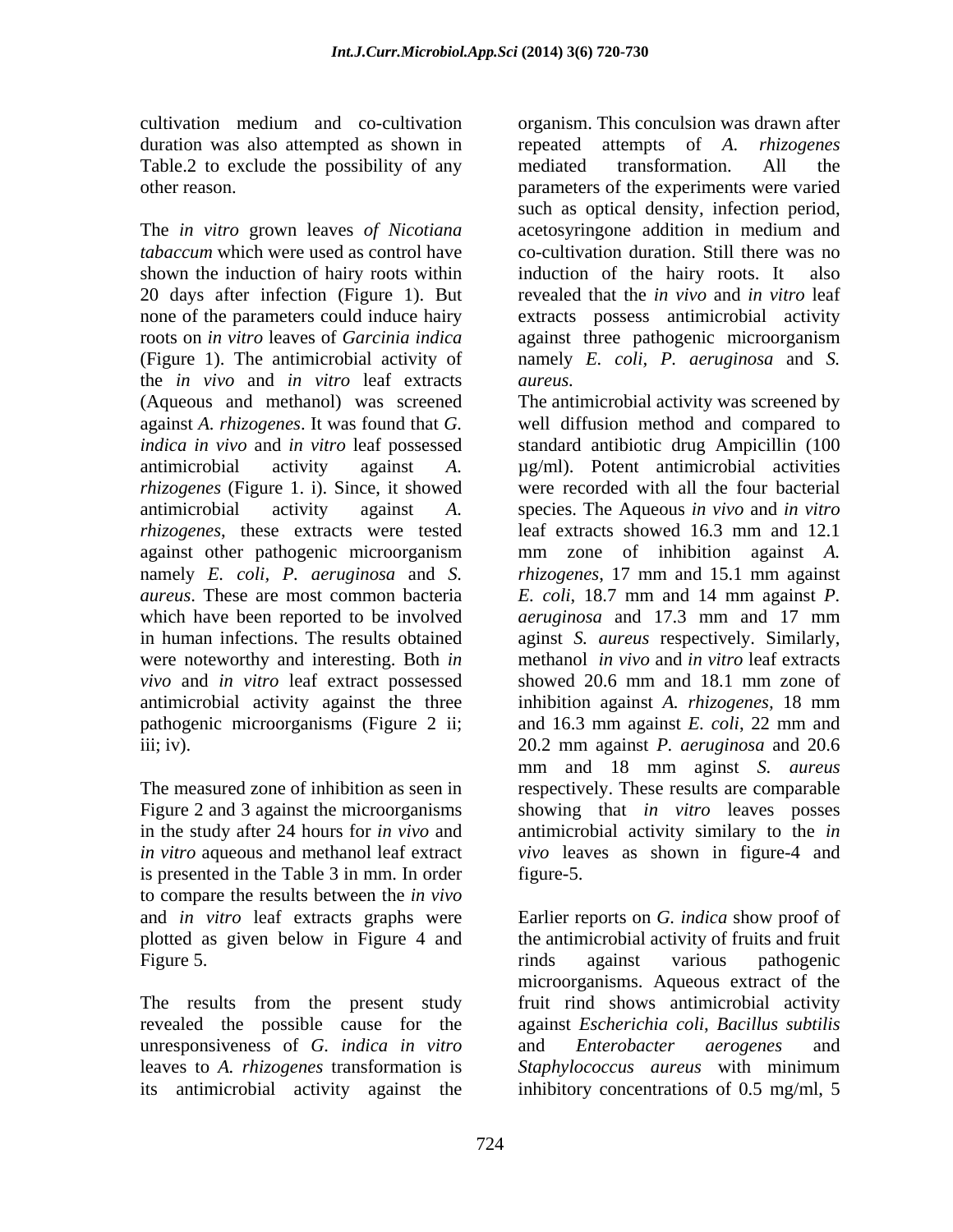duration was also attempted as shown in epeated attempts of A. rhizogenes Table.2 to exclude the possibility of any mediated transformation. All the

The *in vitro* grown leaves *of Nicotiana*  shown the induction of hairy roots within induction of the hairy roots. It also 20 days after infection (Figure 1). But none of the parameters could induce hairy the *in vivo* and *in vitro* leaf extracts against *A. rhizogenes*. It was found that *G. rhizogenes* (Figure 1. i). Since, it showed *rhizogenes*, these extracts were tested leaf extracts showed 16.3 mm and 12.1 *aureus*. These are most common bacteria *E. coli*, 18.7 mm and 14 mm against P. which have been reported to be involved aeruginosa and 17.3 mm and 17 mm were noteworthy and interesting. Both *in vivo* and *in vitro* leaf extract possessed antimicrobial activity against the three inhibition against A, *rhizogenes*, 18 mm pathogenic microorganisms (Figure 2 ii;

is presented in the Table 3 in mm. In order to compare the results between the *in vivo*

revealed the possible cause for the unresponsiveness of *G. indica in vitro* leaves to *A. rhizogenes* transformation is

cultivation medium and co-cultivation organism. This conculsion was drawn after other reason. parameters of the experiments were varied *tabaccum* which were used as control have co-cultivation duration. Still there was no roots on *in vitro* leaves of *Garcinia indica* against three pathogenic microorganism (Figure 1). The antimicrobial activity of namely *E. coli, P. aeruginosa* and *S.*  repeated attempts of *A*. mediated transformation. All the such as optical density, infection period, acetosyringone addition in medium and induction of the hairy roots. It revealed that the *in vivo* and *in vitro* leaf extracts possess antimicrobial activity *aureus.* 

(Aqueous and methanol) was screened The antimicrobial activity was screened by *indica in vivo* and *in vitro* leaf possessed standard antibiotic drug Ampicillin (100 antimicrobial activity against *A.*  µg/ml). Potent antimicrobial activities antimicrobial activity against *A.*  species. The Aqueous *in vivo* and *in vitro* against other pathogenic microorganism mm zone of inhibition against *A.*  namely *E. coli, P. aeruginosa* and *S. rhizogenes*, 17 mm and 15.1 mm against in human infections. The results obtained aginst *S. aureus* respectively. Similarly, iii; iv). 20.2 mm against *P. aeruginosa* and 20.6 The measured zone of inhibition as seen in respectively. These results are comparable Figure 2 and 3 against the microorganisms showing that *in vitro* leaves posses in the study after 24 hours for *in vivo* and antimicrobial activity similary to the *in in vitro* aqueous and methanol leaf extract *vivo* leaves as shown in figure-4 and well diffusion method and compared to were recorded with all the four bacterial leaf extracts showed 16.3 mm and 12.1 *E. coli*, 18.7 mm and 14 mm against *P. aeruginosa* and 17.3 mm and 17 mm methanol *in vivo* and *in vitro* leaf extracts showed 20.6 mm and 18.1 mm zone of inhibition against *A. rhizogenes,* 18 mm and 16.3 mm against *E. coli*, 22 mm and mm and 18 mm aginst *S. aureus* figure-5.

and *in vitro* leaf extracts graphs were Earlier reports on *G. indica* show proof of plotted as given below in Figure 4 and the antimicrobial activity of fruits and fruit Figure 5. The set of the set of the set of the set of the set of the set of the set of the set of the set of the set of the set of the set of the set of the set of the set of the set of the set of the set of the set of the The results from the present study fruit rind shows antimicrobial activity its antimicrobial activity against the inhibitory concentrations of 0.5 mg/ml, 5rinds against various pathogenic microorganisms. Aqueous extract of the against *Escherichia coli*, *Bacillus subtilis* and *Enterobacter aerogenes* and *Staphylococcus aureus* with minimum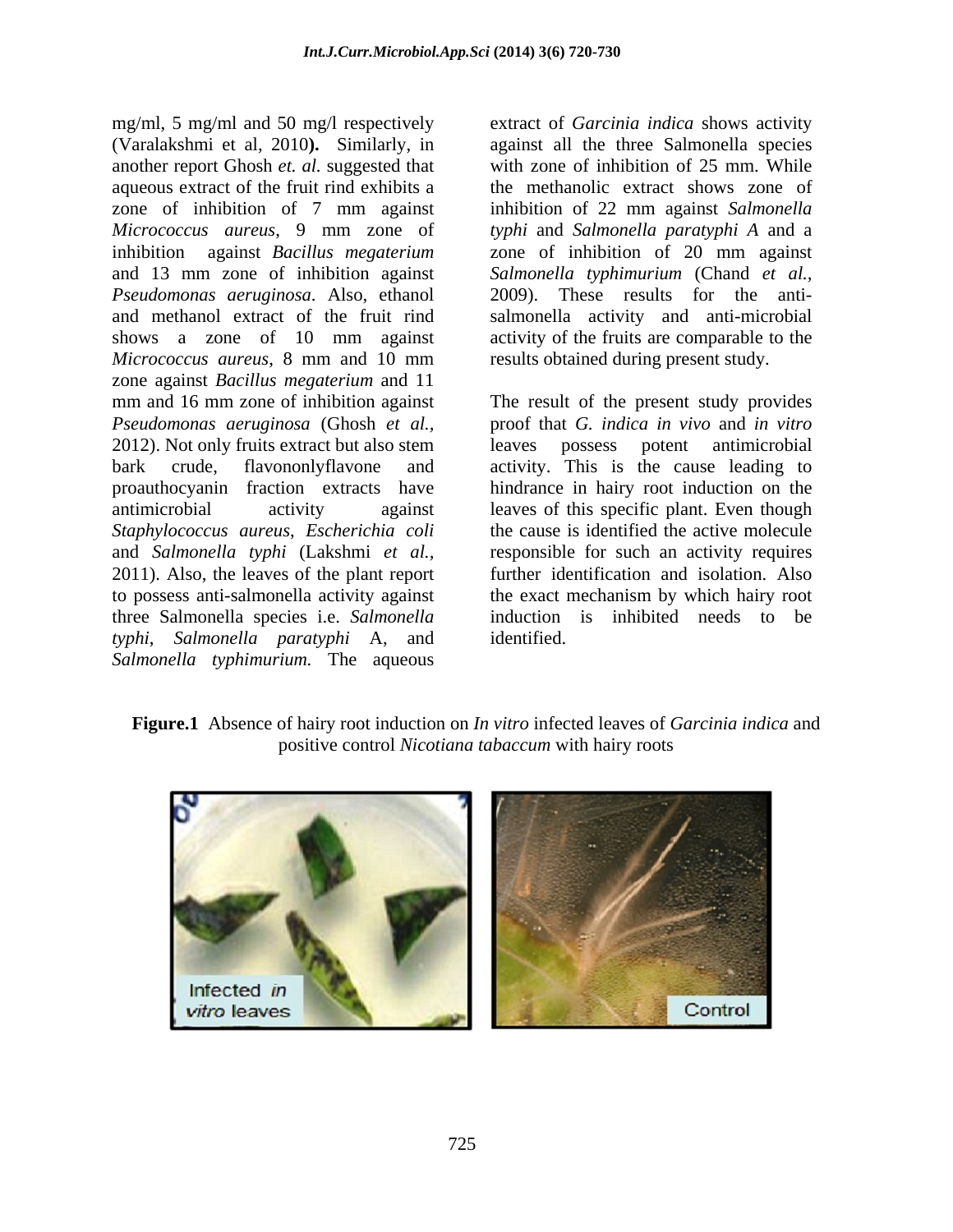mg/ml, 5 mg/ml and 50 mg/l respectively extract of *Garcinia indica* shows activity (Varalakshmi et al, 2010**).** Similarly, in another report Ghosh *et. al.* suggested that aqueous extract of the fruit rind exhibits a zone of inhibition of 7 mm against inhibition of 22 mm against Salmonella *Micrococcus aureus*, 9 mm zone of *typhi* and *Salmonella paratyphi A* and a inhibition against *Bacillus megaterium* zone of inhibition of 20 mm against and 13 mm zone of inhibition against *Salmonella typhimurium* (Chand *et al., Pseudomonas aeruginosa*. Also, ethanol and methanol extract of the fruit rind salmonella activity and anti-microbial shows a zone of 10 mm against activity of the fruits are comparable to the *Micrococcus aureus*, 8 mm and 10 mm zone against *Bacillus megaterium* and 11 mm and 16 mm zone of inhibition against The result of the present study provides *Pseudomonas aeruginosa* (Ghosh *et al.,* proof that *G. indica in vivo* and *in vitro*  2012). Not only fruits extract but also stem leaves possess potent antimicrobial bark crude, flavononlyflavone and activity. This is the cause leading to proauthocyanin fraction extracts have hindrance in hairy root induction on the antimicrobial activity against leaves of this specific plant. Even though *Staphylococcus aureus*, *Escherichia coli* and *Salmonella typhi* (Lakshmi *et al.,* responsible for such an activity requires 2011). Also, the leaves of the plant report further identification and isolation. Also to possess anti-salmonella activity against the exact mechanism by which hairy root three Salmonella species i.e. *Salmonella typhi*, *Salmonella paratyphi* A, and *Salmonella typhimurium.* The aqueous

against all the three Salmonella species with zone of inhibition of 25 mm. While the methanolic extract shows zone of inhibition of 22 mm against *Salmonella*  2009). These results for the anti results obtained during present study.

the cause is identified the active molecule induction is inhibited needs to be identified.

**Figure.1** Absence of hairy root induction on *In vitro* infected leaves of *Garcinia indica* and positive control *Nicotiana tabaccum* with hairy roots

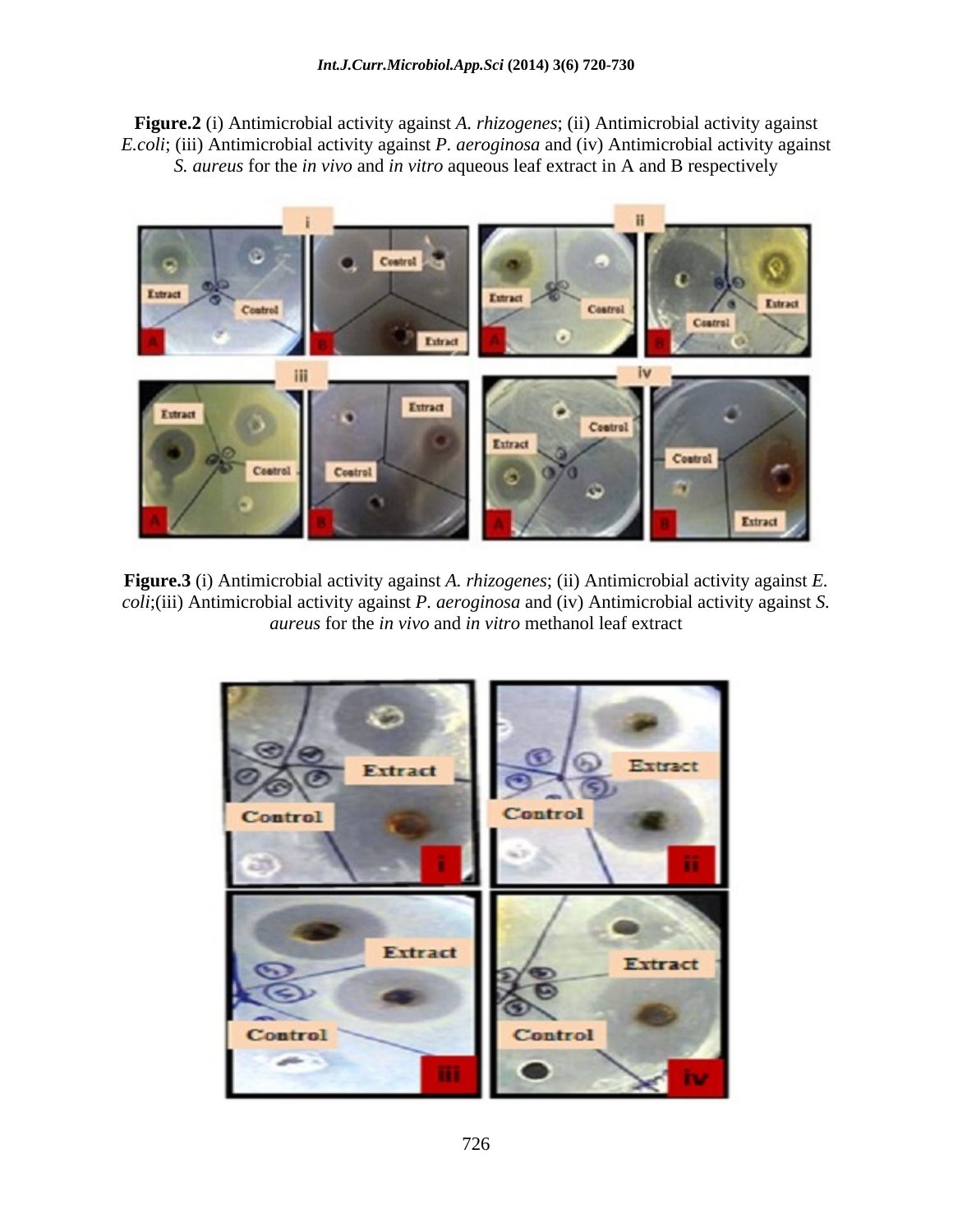**Figure.2** (i) Antimicrobial activity against *A. rhizogenes*; (ii) Antimicrobial activity against *E.coli*; (iii) Antimicrobial activity against *P. aeroginosa* and (iv) Antimicrobial activity against *S. aureus* for the *in vivo* and *in vitro* aqueous leaf extract in A and B respectively



**Figure.3** (i) Antimicrobial activity against *A. rhizogenes*; (ii) Antimicrobial activity against *E. coli*;(iii) Antimicrobial activity against *P. aeroginosa* and (iv) Antimicrobial activity against *S. aureus* for the *in vivo* and *in vitro* methanol leaf extract

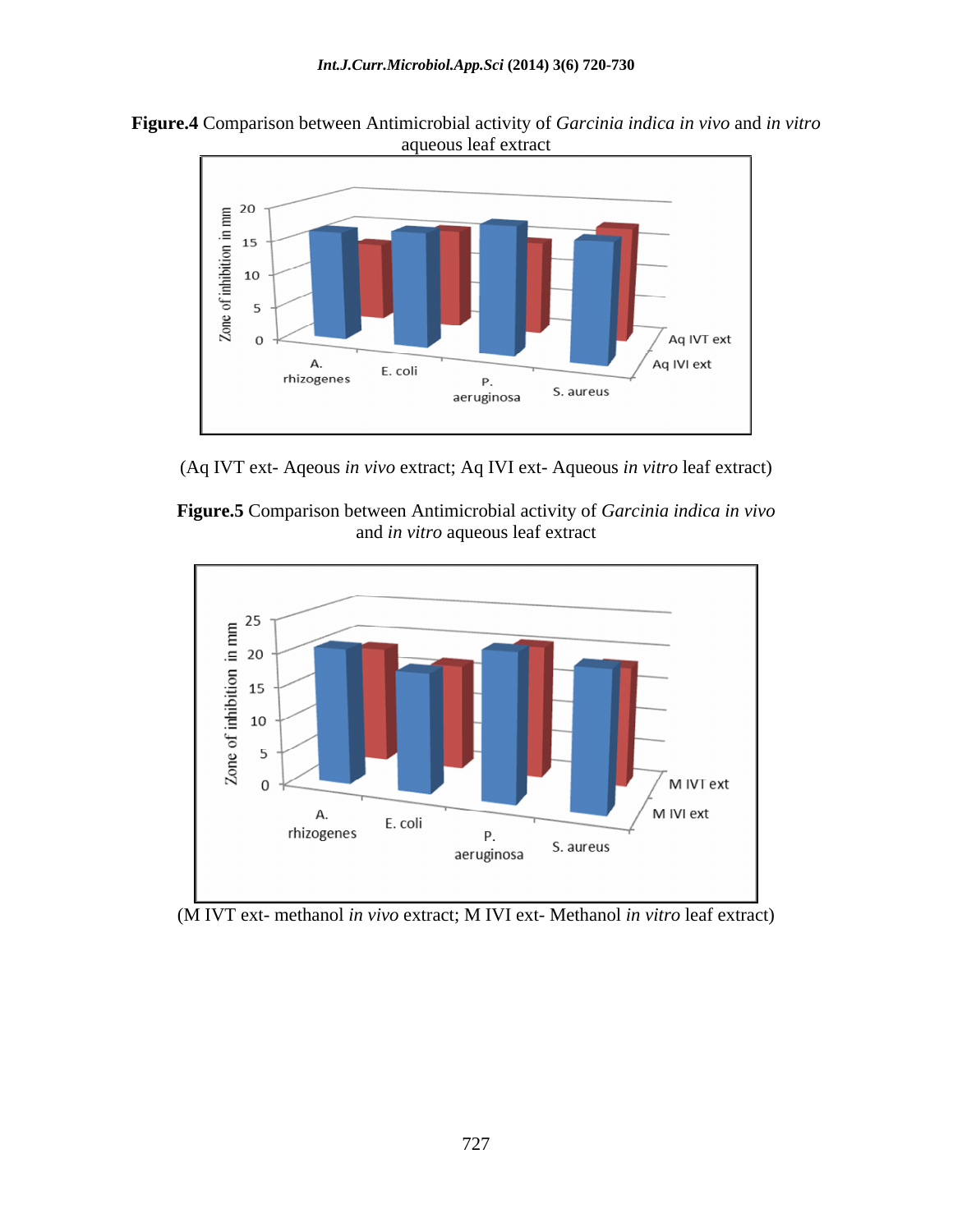



(Aq IVT ext- Aqeous *in vivo* extract; Aq IVI ext- Aqueous *in vitro* leaf extract)





(M IVT ext- methanol *in vivo* extract; M IVI ext- Methanol *in vitro* leaf extract)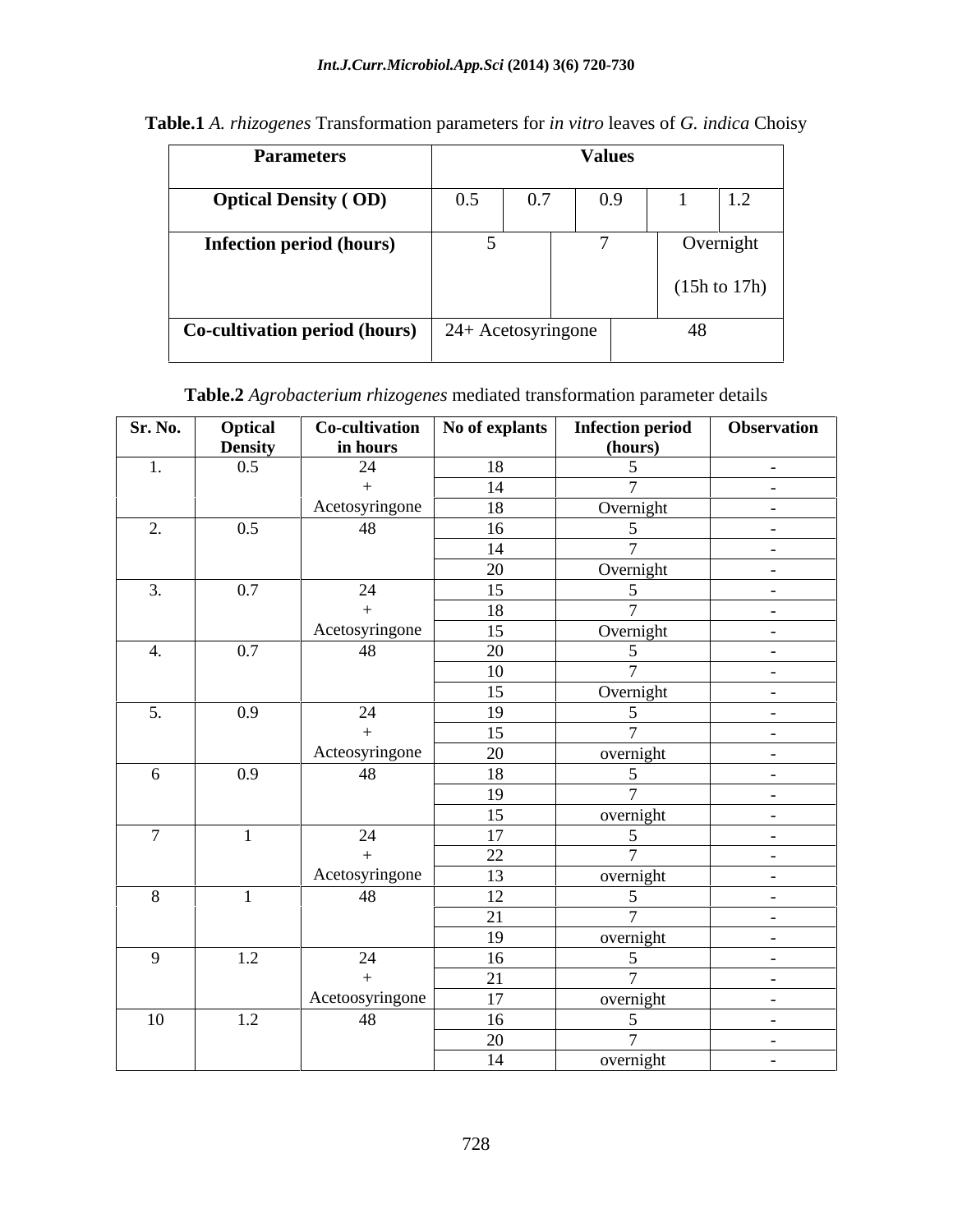| <b>Parameters</b>                    | <b>Values</b> |                    |     |    |                               |  |
|--------------------------------------|---------------|--------------------|-----|----|-------------------------------|--|
| <b>Optical Density (OD)</b>          | 0.5           | 0.7                | 0.9 |    | $\mathbf{1} \cdot \mathbf{2}$ |  |
| <b>Infection period (hours)</b>      |               |                    |     |    | Overnight                     |  |
|                                      |               |                    |     |    | $(15h)$ to $17h)$             |  |
| <b>Co-cultivation period (hours)</b> |               | 24+ Acetosyringone |     | 48 |                               |  |

**Table.1** *A. rhizogenes* Transformation parameters for *in vitro* leaves of *G. indica* Choisy

# **Table.2** *Agrobacterium rhizogenes* mediated transformation parameter details

| Sr. No.        | Optical        | Co-cultivation  | No of explants | <b>Infection period</b>           | Observation                        |
|----------------|----------------|-----------------|----------------|-----------------------------------|------------------------------------|
|                | <b>Density</b> | in hours        |                | (hours)                           |                                    |
| 1.             | $0.5\,$        | 24              | 18             | $\sim$ 5                          | $\sim 1000$ m $^{-1}$              |
|                |                |                 | 14             | $\overline{7}$                    | $\sim 100$ m $^{-1}$               |
|                |                | Acetosyringone  | 18             | Overnight                         | $\sim 100$ km s $^{-1}$            |
| 2.             | 0.5            | 48              | 16             | 5 <sup>5</sup>                    | $\sim 100$ km s $^{-1}$            |
|                |                |                 | 14             | $\mathbf{\tau}$                   | $\sim 100$ m $^{-1}$               |
|                |                |                 | 20             | Overnight                         | $\sim 100$ m $^{-1}$               |
| 3.             | 0.7            | 24              | 15             | 5 <sup>5</sup>                    | $\sim 10^{-10}$                    |
|                |                |                 | 18             | $\mathcal{L}$                     | $\sim$ $ \sim$                     |
|                |                | Acetosyringone  | 15             | Overnight                         | $\sim 10^{-10}$                    |
| 4.             | 0.7            | 48              | 20             | 5 <sup>5</sup>                    | $\sim$                             |
|                |                |                 | 10             | $\mathbf{z}$                      |                                    |
|                |                |                 | 15             | Overnight                         | $\sim 100$ m $^{-1}$               |
| 5.             | 0.9            | 24              | 19             | 5 <sup>5</sup>                    | $\sim$ $ \sim$                     |
|                |                |                 | 15             | $\mathbf{\tau}$                   |                                    |
|                |                | Acteosyringone  | 20             |                                   | $\sim 100$ m $^{-1}$               |
| 6              |                | 48              | 18             | overnight<br>5 <sup>5</sup>       |                                    |
|                | 0.9            |                 |                | $\overline{7}$                    | $\sim 100$ m $^{-1}$               |
|                |                |                 | 19             |                                   | <b>Contract Contract</b>           |
| $\overline{7}$ |                |                 | 15             | overnight                         | $\alpha$ and $\alpha$ and $\alpha$ |
|                |                | 24              | 17             | $5\overline{)}$<br>$\overline{7}$ | $\sim 100$ m $^{-1}$               |
|                |                |                 | 22             |                                   | $\sim 1000$ m $^{-1}$              |
|                |                | Acetosyringone  | 13             | overnight                         | $\sim 100$ m $^{-1}$               |
| 8              |                | 48              | 12             | $5\overline{)}$                   | $\sim$                             |
|                |                |                 | 21             | $\mathcal{L}$                     | $\sim 100$ m $^{-1}$               |
|                |                |                 | 19             | overnight                         | $\sim 100$ m $^{-1}$               |
| $\overline{9}$ | 1.2            | 24              | 16             | $5\overline{)}$                   | $\sim$ $-$                         |
|                |                |                 | 21             | $\overline{z}$                    | $\sim 100$ m $^{-1}$               |
|                |                | Acetoosyringone | 17             | overnight                         | $\sim$ $ \sim$                     |
| 10             | 1.2            | 48              | 16             | $5\overline{)}$                   | $\sim$ $ \sim$                     |
|                |                |                 | 20             | $\mathcal{L}$                     | <b>Contract Contract</b>           |
|                |                |                 | 14             | overnight                         | $\sim 100$ m $^{-1}$               |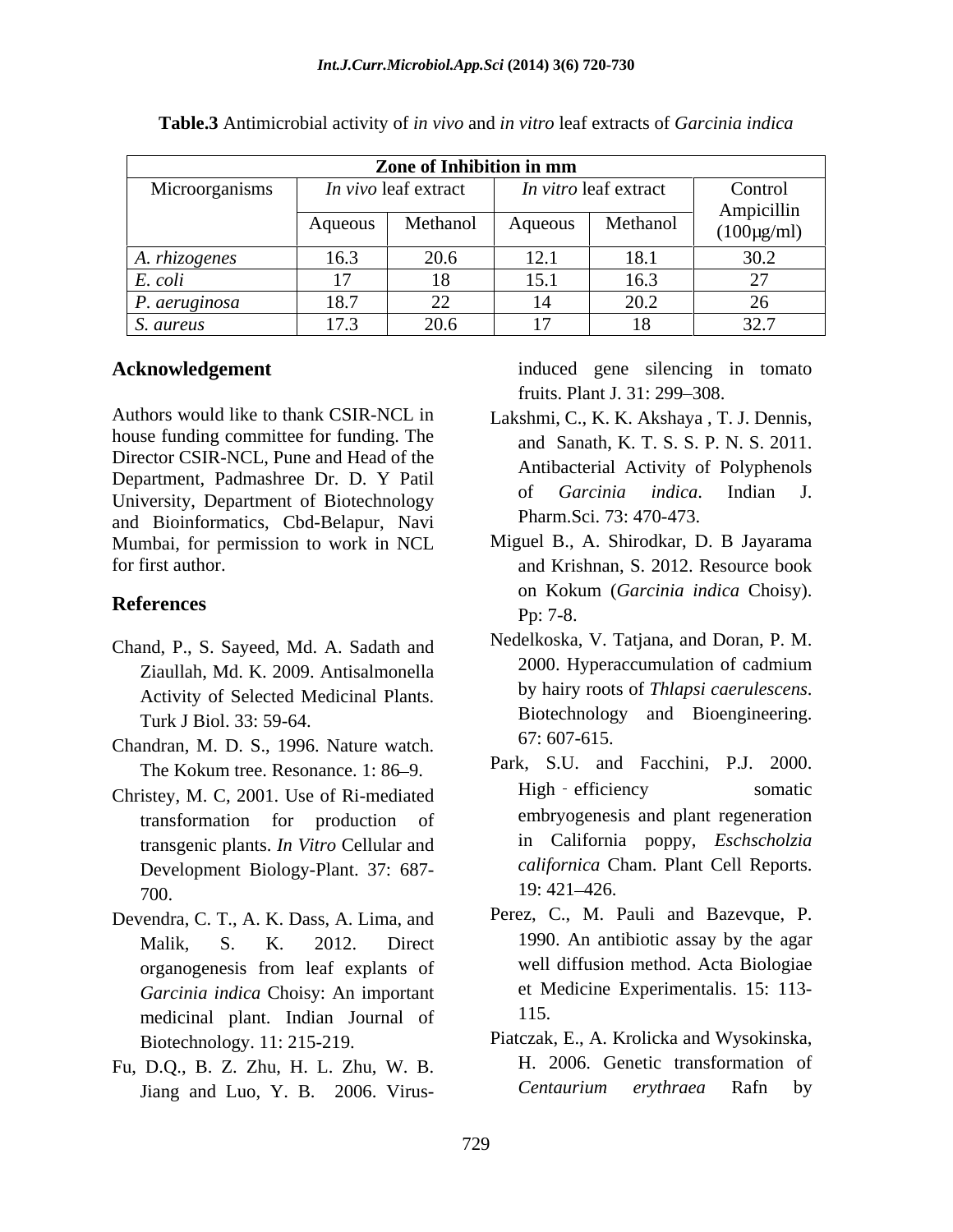|                |         | Zone of Inhibition in mm |                                      |                               |                                     |
|----------------|---------|--------------------------|--------------------------------------|-------------------------------|-------------------------------------|
| Microorganisms |         | In vivo leaf extract     |                                      | <i>In vitro</i> leaf extract  | Control                             |
|                | Aqueous |                          |                                      | Methanol   Aqueous   Methanol | Ampicillin<br>$(100\mu\text{g/mL})$ |
| A. rhizogenes  | 163     |                          | 10 <sub>1</sub><br>$1 \mathcal{L}$ . | 1 O                           | 30.2                                |
| E. coll        |         |                          | 15.1                                 | 16.3                          | $\sim$ $\sim$ $\sim$                |
| P. aeruginosa  | 18.7    | $\overline{\phantom{a}}$ |                                      | 20.2                          |                                     |
| S. aureus      | 172     |                          |                                      | 10<br>$\sim$                  | 22.7<br>، ، ، ، ،                   |

**Table.3** Antimicrobial activity of *in vivo* and *in vitro* leaf extracts of *Garcinia indica*

Authors would like to thank CSIR-NCL in Lakshmi, C., K. K. Akshaya , T. J. Dennis, house funding committee for funding. The Director CSIR-NCL, Pune and Head of the Department, Padmashree Dr. D. Y Patil and Sullivational Activity of Foryphenois of Garcinia indica. Indian J. University, Department of Biotechnology and Bioinformatics, Cbd-Belapur, Navi Mumbai, for permission to work in NCL

- Chand, P., S. Sayeed, Md. A. Sadath and<br>
Times and Theoreticska, v. Taijana, and Doran, P. M.<br>
2000. Hyperaccumulation of cadmium Activity of Selected Medicinal Plants.
- Chandran, M. D. S., 1996. Nature watch.
- Christey, M. C, 2001. Use of Ri-mediated transgenic plants. *In Vitro* Cellular and Development Biology-Plant. 37: 687-  $19: 421 - 426.$
- Devendra, C. T., A. K. Dass, A. Lima, and *Garcinia indica* Choisy: An important medicinal plant. Indian Journal of
- Fu, D.Q., B. Z. Zhu, H. L. Zhu, W. B. Jiang and Luo, Y. B. 2006. Virus-<br>
Centaurium erythraea Rafn by

**Acknowledgement induced** gene silencing in tomato fruits. Plant J. 31: 299–308.

- and Sanath, K. T. S. S. P. N. S. 2011. Antibacterial Activity of Polyphenols of *Garcinia indica*. Indian J. Pharm.Sci. 73: 470-473.
- for first author. The same state of the same and Krishnan, S. 2012. Resource book References D<sub>R</sub>: 7.8 Miguel B., A. Shirodkar, D. B Jayarama on Kokum (*Garcinia indica* Choisy). Pp: 7-8.
	- Ziaullah, Md. K. 2009. Antisalmonella <sup>2000.</sup> Hyperaccumulation of caunities are all the set of Selected Medicinal Plants by hairy roots of *Thiapsi caerulescens*. Turk J Biol. 33: 59-64. Biotechnology and Bioengineering.<br>
	67: 607-615. Nedelkoska, V. Tatjana, and Doran, P. M. 2000. Hyperaccumulation of cadmium by hairy roots of *Thlapsi caerulescens*. Biotechnology and Bioengineering. 67: 607-615.
	- The Kokum tree. Resonance. 1: 86–9. Park, S.U. and Facchini, P.J. 2000.<br>
	istey M.C. 2001 Use of Ri-mediated High efficiency somatic transformation for production of embryogenesis and plant regeneration Park, S.U. and Facchini, P.J. 2000. High - efficiency somatic in California poppy, *Eschscholzia californica* Cham. Plant Cell Reports. 19: 421 426.
	- Malik, S. K. 2012. Direct 1990. An antibiotic assay by the agar organogenesis from leaf explants of Perez, C., M. Pauli and Bazevque, P. well diffusion method. Acta Biologiae et Medicine Experimentalis. 15: 113- 115.
	- Biotechnology. 11: 215-219. Piatczak, E., A. Krolicka and Wysokinska, H. 2006. Genetic transformation of *Centaurium erythraea* Rafn by